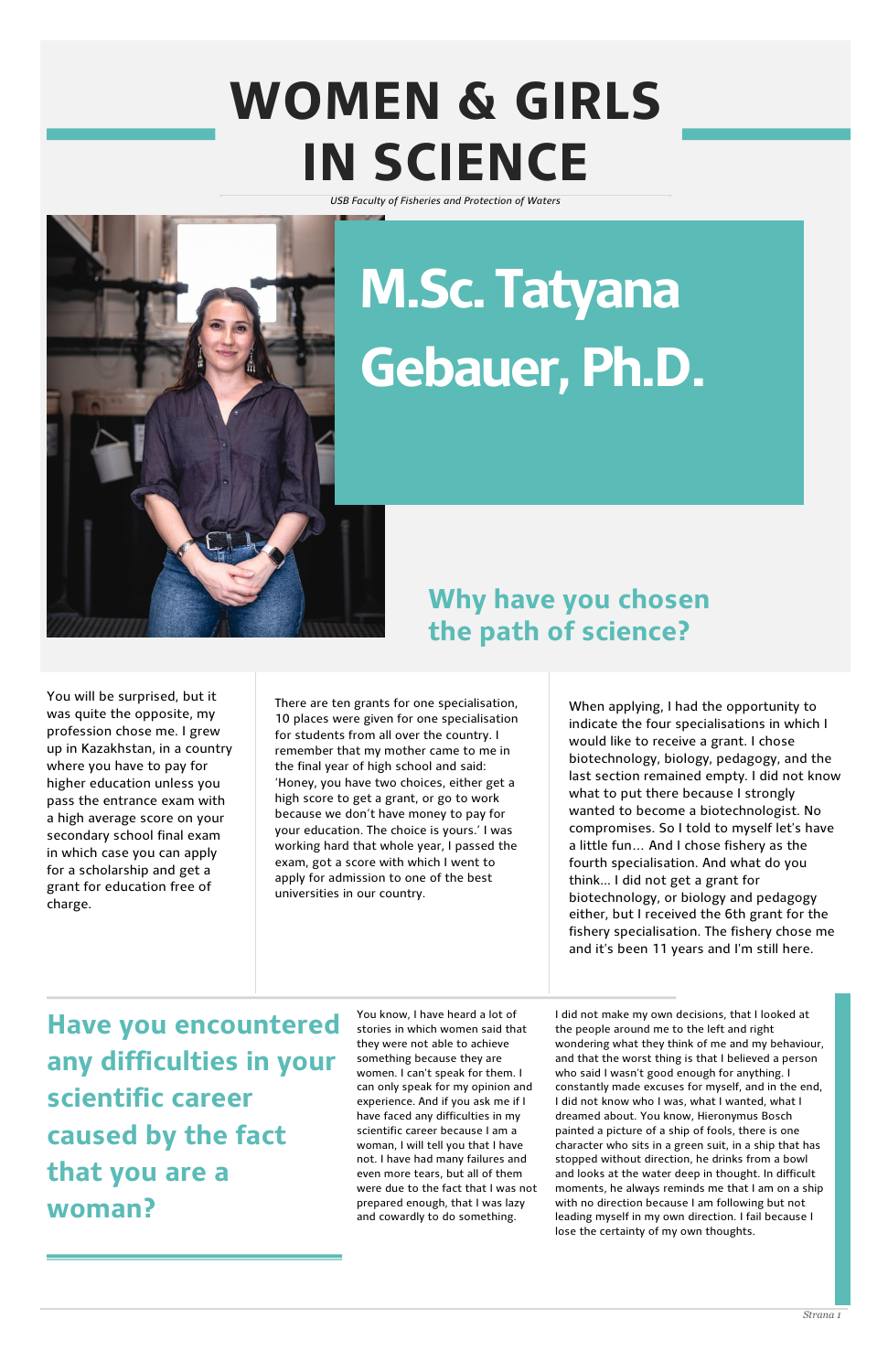## **WOMEN & GIRLS IN SCIENCE**



*USB Faculty of Fisheries and Protection of Waters*

#### **Why have you chosen the path of science?**

You will be surprised, but it was quite the opposite, my profession chose me. I grew up in Kazakhstan, in a country where you have to pay for higher education unless you pass the entrance exam with a high average score on your secondary school final exam in which case you can apply for a scholarship and get a grant for education free of charge.

There are ten grants for one specialisation, 10 places were given for one specialisation for students from all over the country. I remember that my mother came to me in the final year of high school and said: 'Honey, you have two choices, either get a high score to get a grant, or go to work because we don't have money to pay for your education. The choice is yours.' I was working hard that whole year, I passed the exam, got a score with which I went to apply for admission to one of the best universities in our country.

When applying, I had the opportunity to indicate the four specialisations in which I would like to receive a grant. I chose biotechnology, biology, pedagogy, and the last section remained empty. I did not know what to put there because I strongly wanted to become a biotechnologist. No compromises. So I told to myself let's have a little fun… And I chose fishery as the fourth specialisation. And what do you think... I did not get a grant for biotechnology, or biology and pedagogy either, but I received the 6th grant for the fishery specialisation. The fishery chose me and it's been 11 years and I'm still here.

**Have you encountered any difficulties in your scientific career caused by the fact that you are a woman?**

You know, I have heard a lot of stories in which women said that they were not able to achieve something because they are women. I can't speak for them. I can only speak for my opinion and experience. And if you ask me if I have faced any difficulties in my scientific career because I am a woman, I will tell you that I have not. I have had many failures and even more tears, but all of them were due to the fact that I was not prepared enough, that I was lazy and cowardly to do something.

I did not make my own decisions, that I looked at the people around me to the left and right wondering what they think of me and my behaviour, and that the worst thing is that I believed a person who said I wasn't good enough for anything. I constantly made excuses for myself, and in the end, I did not know who I was, what I wanted, what I dreamed about. You know, Hieronymus Bosch painted a picture of a ship of fools, there is one character who sits in a green suit, in a ship that has stopped without direction, he drinks from a bowl and looks at the water deep in thought. In difficult moments, he always reminds me that I am on a ship with no direction because I am following but not leading myself in my own direction. I fail because I lose the certainty of my own thoughts.

# **M.Sc. Tatyana Gebauer, Ph.D.**